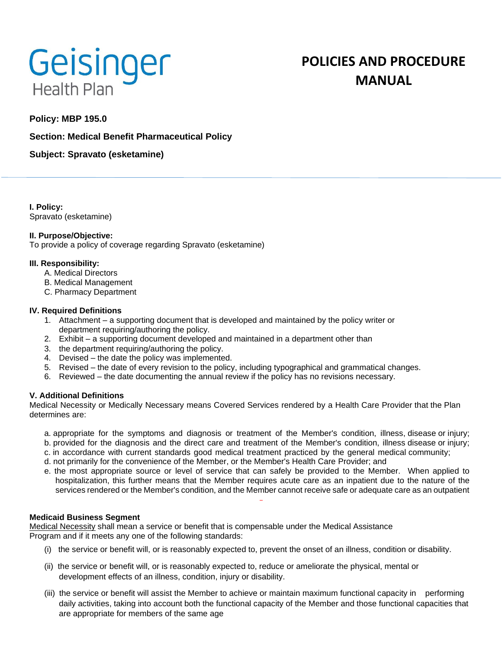

# **POLICIES AND PROCEDURE MANUAL**

# **Policy: MBP 195.0**

## **Section: Medical Benefit Pharmaceutical Policy**

**Subject: Spravato (esketamine)**

**I. Policy:** Spravato (esketamine)

#### **II. Purpose/Objective:**

To provide a policy of coverage regarding Spravato (esketamine)

#### **III. Responsibility:**

- A. Medical Directors
- B. Medical Management
- C. Pharmacy Department

#### **IV. Required Definitions**

- 1. Attachment a supporting document that is developed and maintained by the policy writer or department requiring/authoring the policy.
- 2. Exhibit a supporting document developed and maintained in a department other than
- 3. the department requiring/authoring the policy.
- 4. Devised the date the policy was implemented.
- 5. Revised the date of every revision to the policy, including typographical and grammatical changes.
- 6. Reviewed the date documenting the annual review if the policy has no revisions necessary.

#### **V. Additional Definitions**

Medical Necessity or Medically Necessary means Covered Services rendered by a Health Care Provider that the Plan determines are:

- a. appropriate for the symptoms and diagnosis or treatment of the Member's condition, illness, disease or injury;
- b. provided for the diagnosis and the direct care and treatment of the Member's condition, illness disease or injury;
- c. in accordance with current standards good medical treatment practiced by the general medical community;
- d. not primarily for the convenience of the Member, or the Member's Health Care Provider; and
- e. the most appropriate source or level of service that can safely be provided to the Member. When applied to hospitalization, this further means that the Member requires acute care as an inpatient due to the nature of the services rendered or the Member's condition, and the Member cannot receive safe or adequate care as an outpatient

## **Medicaid Business Segment**

Medical Necessity shall mean a service or benefit that is compensable under the Medical Assistance Program and if it meets any one of the following standards:

- (i) the service or benefit will, or is reasonably expected to, prevent the onset of an illness, condition or disability.
- (ii) the service or benefit will, or is reasonably expected to, reduce or ameliorate the physical, mental or development effects of an illness, condition, injury or disability.
- (iii) the service or benefit will assist the Member to achieve or maintain maximum functional capacity in performing daily activities, taking into account both the functional capacity of the Member and those functional capacities that are appropriate for members of the same age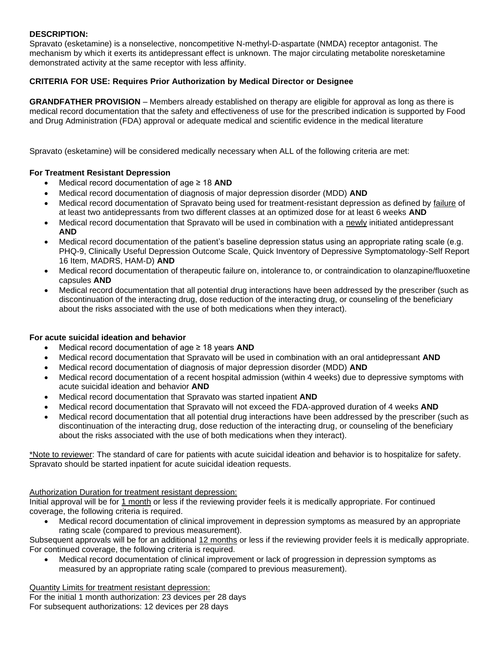## **DESCRIPTION:**

Spravato (esketamine) is a nonselective, noncompetitive N-methyl-D-aspartate (NMDA) receptor antagonist. The mechanism by which it exerts its antidepressant effect is unknown. The major circulating metabolite noresketamine demonstrated activity at the same receptor with less affinity.

## **CRITERIA FOR USE: Requires Prior Authorization by Medical Director or Designee**

**GRANDFATHER PROVISION** – Members already established on therapy are eligible for approval as long as there is medical record documentation that the safety and effectiveness of use for the prescribed indication is supported by Food and Drug Administration (FDA) approval or adequate medical and scientific evidence in the medical literature

Spravato (esketamine) will be considered medically necessary when ALL of the following criteria are met:

#### **For Treatment Resistant Depression**

- Medical record documentation of age ≥ 18 **AND**
- Medical record documentation of diagnosis of major depression disorder (MDD) **AND**
- Medical record documentation of Spravato being used for treatment-resistant depression as defined by failure of at least two antidepressants from two different classes at an optimized dose for at least 6 weeks **AND**
- Medical record documentation that Spravato will be used in combination with a newly initiated antidepressant **AND**
- Medical record documentation of the patient's baseline depression status using an appropriate rating scale (e.g. PHQ-9, Clinically Useful Depression Outcome Scale, Quick Inventory of Depressive Symptomatology-Self Report 16 Item, MADRS, HAM-D) **AND**
- Medical record documentation of therapeutic failure on, intolerance to, or contraindication to olanzapine/fluoxetine capsules **AND**
- Medical record documentation that all potential drug interactions have been addressed by the prescriber (such as discontinuation of the interacting drug, dose reduction of the interacting drug, or counseling of the beneficiary about the risks associated with the use of both medications when they interact).

#### **For acute suicidal ideation and behavior**

- Medical record documentation of age ≥ 18 years **AND**
- Medical record documentation that Spravato will be used in combination with an oral antidepressant **AND**
- Medical record documentation of diagnosis of major depression disorder (MDD) **AND**
- Medical record documentation of a recent hospital admission (within 4 weeks) due to depressive symptoms with acute suicidal ideation and behavior **AND**
- Medical record documentation that Spravato was started inpatient **AND**
- Medical record documentation that Spravato will not exceed the FDA-approved duration of 4 weeks **AND**
- Medical record documentation that all potential drug interactions have been addressed by the prescriber (such as discontinuation of the interacting drug, dose reduction of the interacting drug, or counseling of the beneficiary about the risks associated with the use of both medications when they interact).

\*Note to reviewer: The standard of care for patients with acute suicidal ideation and behavior is to hospitalize for safety. Spravato should be started inpatient for acute suicidal ideation requests.

#### Authorization Duration for treatment resistant depression:

Initial approval will be for 1 month or less if the reviewing provider feels it is medically appropriate. For continued coverage, the following criteria is required.

• Medical record documentation of clinical improvement in depression symptoms as measured by an appropriate rating scale (compared to previous measurement).

Subsequent approvals will be for an additional 12 months or less if the reviewing provider feels it is medically appropriate. For continued coverage, the following criteria is required.

• Medical record documentation of clinical improvement or lack of progression in depression symptoms as measured by an appropriate rating scale (compared to previous measurement).

Quantity Limits for treatment resistant depression:

For the initial 1 month authorization: 23 devices per 28 days For subsequent authorizations: 12 devices per 28 days